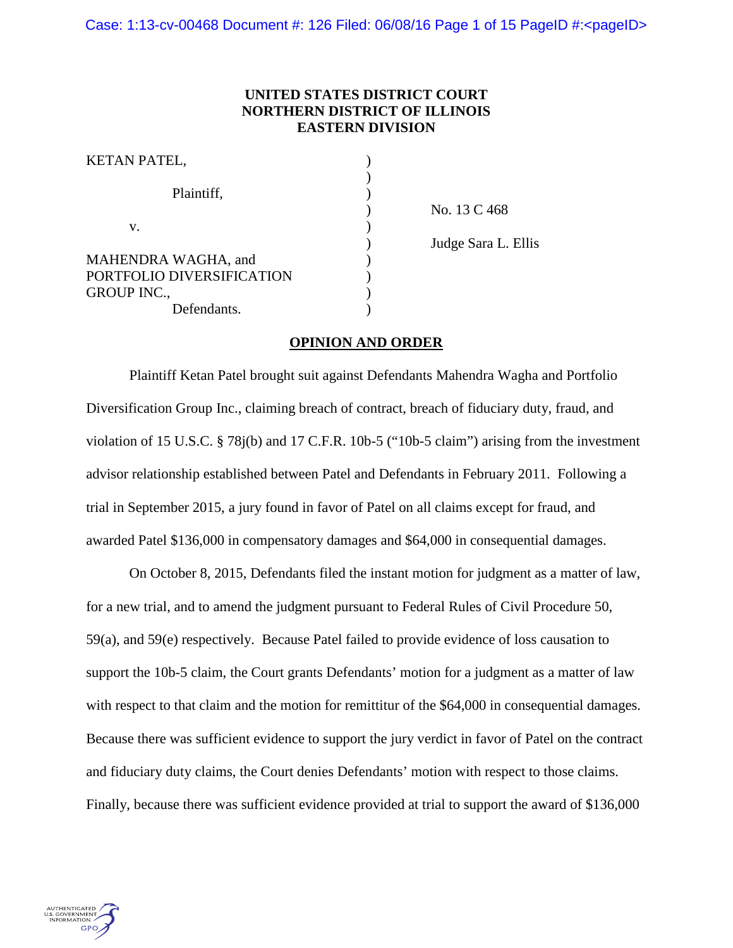# **UNITED STATES DISTRICT COURT NORTHERN DISTRICT OF ILLINOIS EASTERN DIVISION**

| KETAN PATEL,              |  |
|---------------------------|--|
| Plaintiff,                |  |
| V.                        |  |
| MAHENDRA WAGHA, and       |  |
| PORTFOLIO DIVERSIFICATION |  |
| <b>GROUP INC.,</b>        |  |
| Defendants.               |  |

) No. 13 C 468 ) Judge Sara L. Ellis

# **OPINION AND ORDER**

Plaintiff Ketan Patel brought suit against Defendants Mahendra Wagha and Portfolio Diversification Group Inc., claiming breach of contract, breach of fiduciary duty, fraud, and violation of 15 U.S.C. § 78j(b) and 17 C.F.R. 10b-5 ("10b-5 claim") arising from the investment advisor relationship established between Patel and Defendants in February 2011. Following a trial in September 2015, a jury found in favor of Patel on all claims except for fraud, and awarded Patel \$136,000 in compensatory damages and \$64,000 in consequential damages.

On October 8, 2015, Defendants filed the instant motion for judgment as a matter of law, for a new trial, and to amend the judgment pursuant to Federal Rules of Civil Procedure 50, 59(a), and 59(e) respectively. Because Patel failed to provide evidence of loss causation to support the 10b-5 claim, the Court grants Defendants' motion for a judgment as a matter of law with respect to that claim and the motion for remittitur of the \$64,000 in consequential damages. Because there was sufficient evidence to support the jury verdict in favor of Patel on the contract and fiduciary duty claims, the Court denies Defendants' motion with respect to those claims. Finally, because there was sufficient evidence provided at trial to support the award of \$136,000

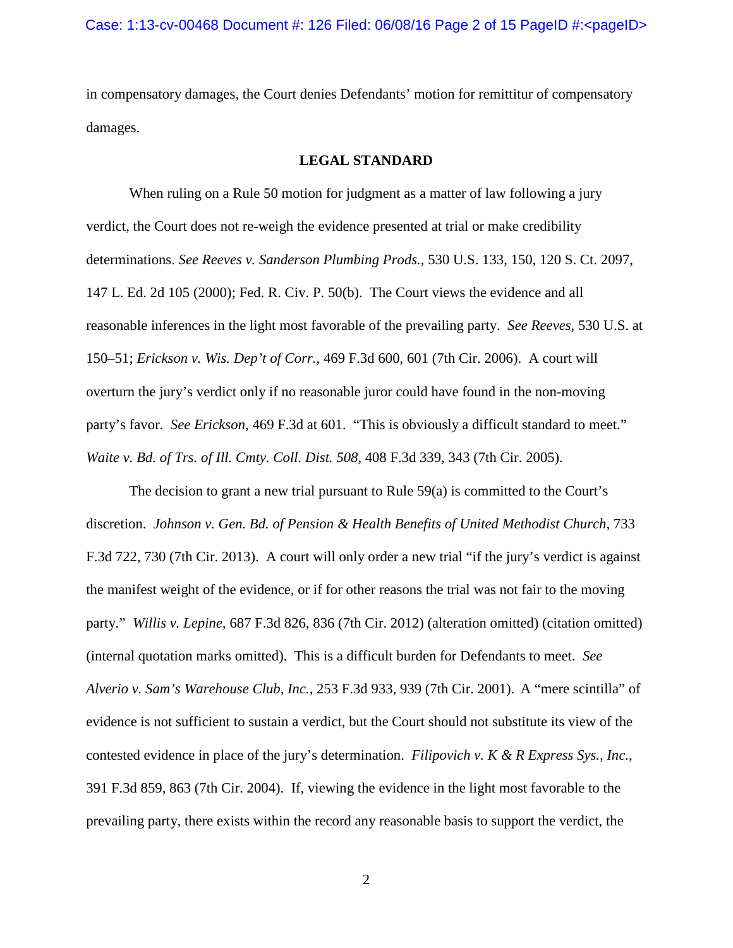in compensatory damages, the Court denies Defendants' motion for remittitur of compensatory damages.

# **LEGAL STANDARD**

When ruling on a Rule 50 motion for judgment as a matter of law following a jury verdict, the Court does not re-weigh the evidence presented at trial or make credibility determinations. *See Reeves v. Sanderson Plumbing Prods.*, 530 U.S. 133, 150, 120 S. Ct. 2097, 147 L. Ed. 2d 105 (2000); Fed. R. Civ. P. 50(b). The Court views the evidence and all reasonable inferences in the light most favorable of the prevailing party. *See Reeves*, 530 U.S. at 150–51; *Erickson v. Wis. Dep't of Corr.*, 469 F.3d 600, 601 (7th Cir. 2006). A court will overturn the jury's verdict only if no reasonable juror could have found in the non-moving party's favor. *See Erickson*, 469 F.3d at 601. "This is obviously a difficult standard to meet." *Waite v. Bd. of Trs. of Ill. Cmty. Coll. Dist. 508*, 408 F.3d 339, 343 (7th Cir. 2005).

The decision to grant a new trial pursuant to Rule 59(a) is committed to the Court's discretion. *Johnson v. Gen. Bd. of Pension & Health Benefits of United Methodist Church*, 733 F.3d 722, 730 (7th Cir. 2013). A court will only order a new trial "if the jury's verdict is against the manifest weight of the evidence, or if for other reasons the trial was not fair to the moving party." *Willis v. Lepine*, 687 F.3d 826, 836 (7th Cir. 2012) (alteration omitted) (citation omitted) (internal quotation marks omitted). This is a difficult burden for Defendants to meet. *See Alverio v. Sam's Warehouse Club, Inc.*, 253 F.3d 933, 939 (7th Cir. 2001). A "mere scintilla" of evidence is not sufficient to sustain a verdict, but the Court should not substitute its view of the contested evidence in place of the jury's determination. *Filipovich v. K & R Express Sys., Inc.*, 391 F.3d 859, 863 (7th Cir. 2004). If, viewing the evidence in the light most favorable to the prevailing party, there exists within the record any reasonable basis to support the verdict, the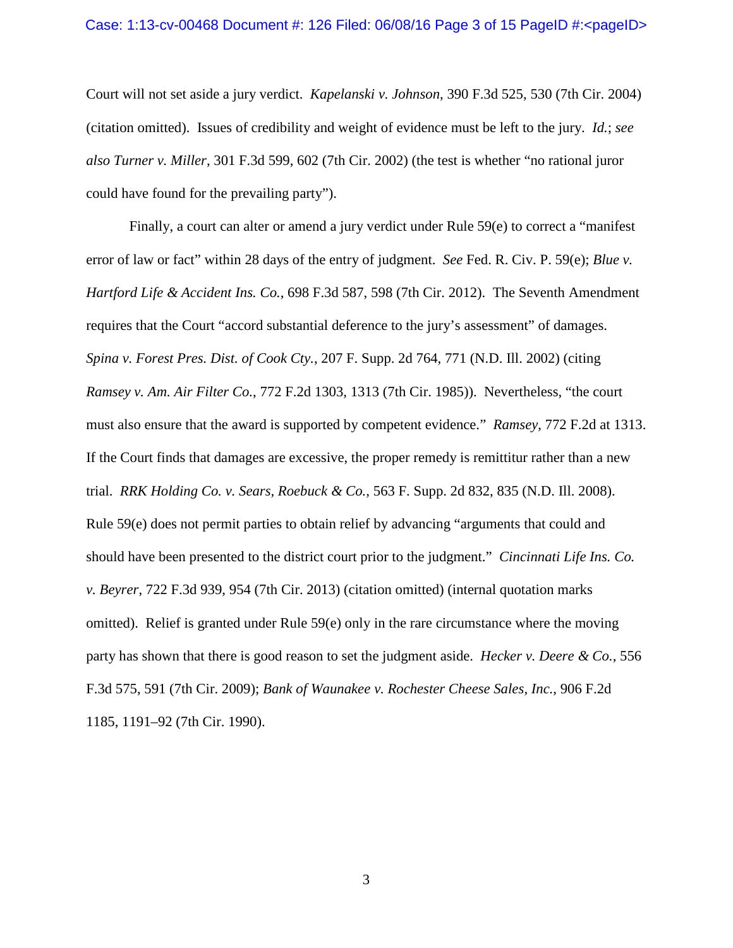#### Case: 1:13-cv-00468 Document #: 126 Filed: 06/08/16 Page 3 of 15 PageID #:<pageID>

Court will not set aside a jury verdict. *Kapelanski v. Johnson*, 390 F.3d 525, 530 (7th Cir. 2004) (citation omitted). Issues of credibility and weight of evidence must be left to the jury. *Id.*; *see also Turner v. Miller*, 301 F.3d 599, 602 (7th Cir. 2002) (the test is whether "no rational juror could have found for the prevailing party").

Finally, a court can alter or amend a jury verdict under Rule 59(e) to correct a "manifest error of law or fact" within 28 days of the entry of judgment. *See* Fed. R. Civ. P. 59(e); *Blue v. Hartford Life & Accident Ins. Co.*, 698 F.3d 587, 598 (7th Cir. 2012). The Seventh Amendment requires that the Court "accord substantial deference to the jury's assessment" of damages. *Spina v. Forest Pres. Dist. of Cook Cty.*, 207 F. Supp. 2d 764, 771 (N.D. Ill. 2002) (citing *Ramsey v. Am. Air Filter Co.*, 772 F.2d 1303, 1313 (7th Cir. 1985)). Nevertheless, "the court must also ensure that the award is supported by competent evidence." *Ramsey*, 772 F.2d at 1313. If the Court finds that damages are excessive, the proper remedy is remittitur rather than a new trial. *RRK Holding Co. v. Sears, Roebuck & Co.*, 563 F. Supp. 2d 832, 835 (N.D. Ill. 2008). Rule 59(e) does not permit parties to obtain relief by advancing "arguments that could and should have been presented to the district court prior to the judgment." *Cincinnati Life Ins. Co. v. Beyrer*, 722 F.3d 939, 954 (7th Cir. 2013) (citation omitted) (internal quotation marks omitted). Relief is granted under Rule 59(e) only in the rare circumstance where the moving party has shown that there is good reason to set the judgment aside. *Hecker v. Deere & Co.*, 556 F.3d 575, 591 (7th Cir. 2009); *Bank of Waunakee v. Rochester Cheese Sales, Inc.*, 906 F.2d 1185, 1191–92 (7th Cir. 1990).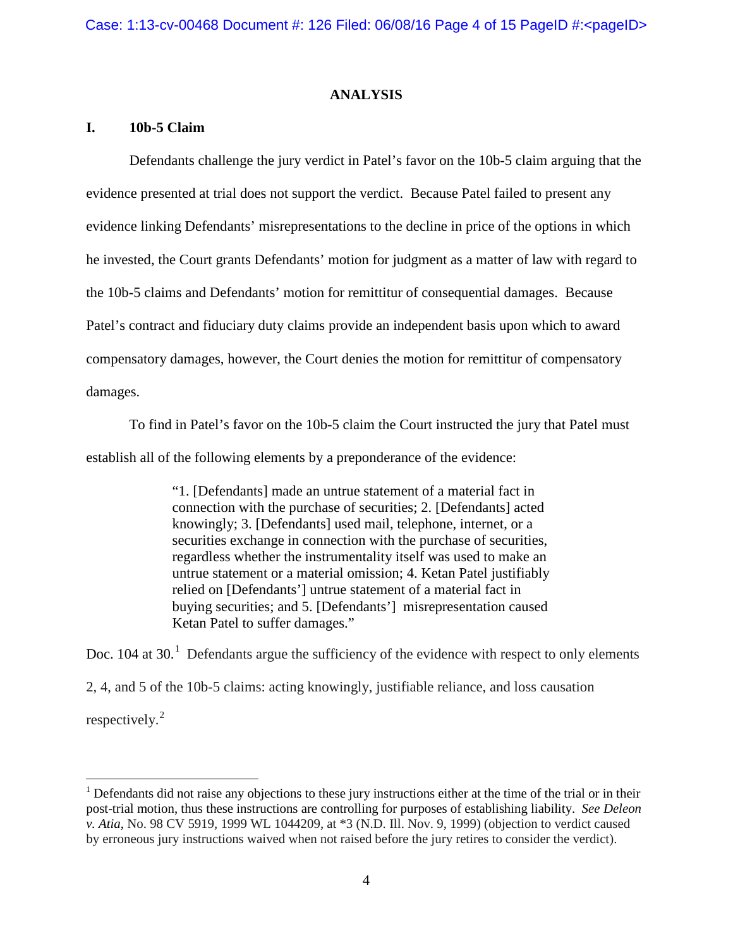### **ANALYSIS**

# **I. 10b-5 Claim**

 $\overline{a}$ 

Defendants challenge the jury verdict in Patel's favor on the 10b-5 claim arguing that the evidence presented at trial does not support the verdict. Because Patel failed to present any evidence linking Defendants' misrepresentations to the decline in price of the options in which he invested, the Court grants Defendants' motion for judgment as a matter of law with regard to the 10b-5 claims and Defendants' motion for remittitur of consequential damages. Because Patel's contract and fiduciary duty claims provide an independent basis upon which to award compensatory damages, however, the Court denies the motion for remittitur of compensatory damages.

To find in Patel's favor on the 10b-5 claim the Court instructed the jury that Patel must establish all of the following elements by a preponderance of the evidence:

> "1. [Defendants] made an untrue statement of a material fact in connection with the purchase of securities; 2. [Defendants] acted knowingly; 3. [Defendants] used mail, telephone, internet, or a securities exchange in connection with the purchase of securities, regardless whether the instrumentality itself was used to make an untrue statement or a material omission; 4. Ketan Patel justifiably relied on [Defendants'] untrue statement of a material fact in buying securities; and 5. [Defendants'] misrepresentation caused Ketan Patel to suffer damages."

Doc. [1](#page-3-0)04 at 30.<sup>1</sup> Defendants argue the sufficiency of the evidence with respect to only elements 2, 4, and 5 of the 10b-5 claims: acting knowingly, justifiable reliance, and loss causation respectively. $^{2}$  $^{2}$  $^{2}$ 

<span id="page-3-1"></span><span id="page-3-0"></span><sup>&</sup>lt;sup>1</sup> Defendants did not raise any objections to these jury instructions either at the time of the trial or in their post-trial motion, thus these instructions are controlling for purposes of establishing liability. *See Deleon v. Atia*, No. 98 CV 5919, 1999 WL 1044209, at \*3 (N.D. Ill. Nov. 9, 1999) (objection to verdict caused by erroneous jury instructions waived when not raised before the jury retires to consider the verdict).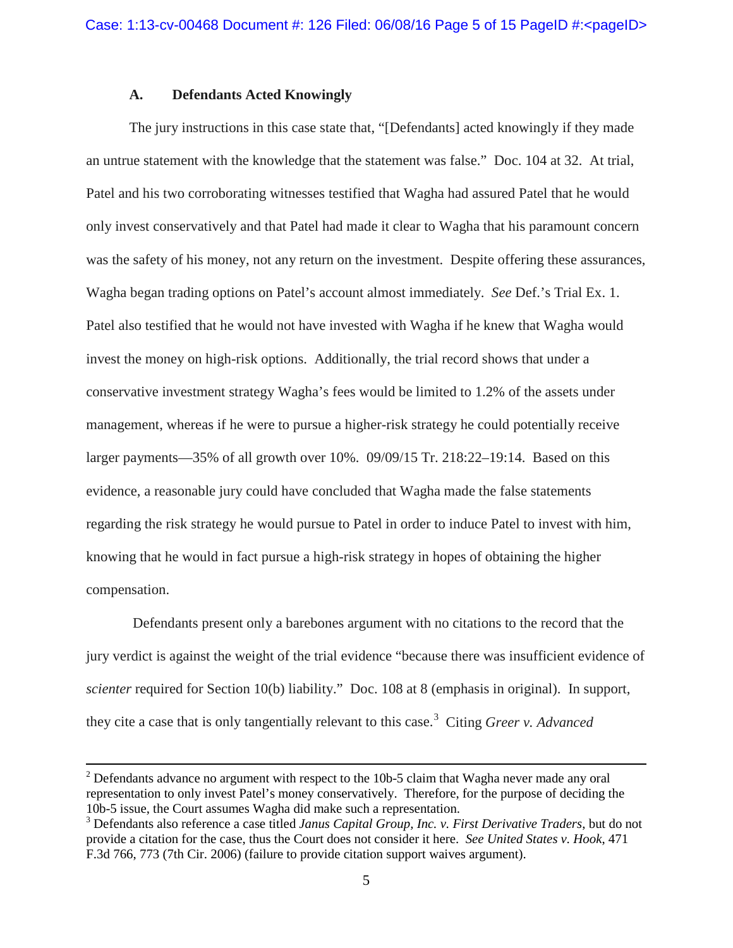### **A. Defendants Acted Knowingly**

The jury instructions in this case state that, "[Defendants] acted knowingly if they made an untrue statement with the knowledge that the statement was false." Doc. 104 at 32. At trial, Patel and his two corroborating witnesses testified that Wagha had assured Patel that he would only invest conservatively and that Patel had made it clear to Wagha that his paramount concern was the safety of his money, not any return on the investment. Despite offering these assurances, Wagha began trading options on Patel's account almost immediately. *See* Def.'s Trial Ex. 1. Patel also testified that he would not have invested with Wagha if he knew that Wagha would invest the money on high-risk options. Additionally, the trial record shows that under a conservative investment strategy Wagha's fees would be limited to 1.2% of the assets under management, whereas if he were to pursue a higher-risk strategy he could potentially receive larger payments—35% of all growth over 10%. 09/09/15 Tr. 218:22–19:14. Based on this evidence, a reasonable jury could have concluded that Wagha made the false statements regarding the risk strategy he would pursue to Patel in order to induce Patel to invest with him, knowing that he would in fact pursue a high-risk strategy in hopes of obtaining the higher compensation.

Defendants present only a barebones argument with no citations to the record that the jury verdict is against the weight of the trial evidence "because there was insufficient evidence of *scienter* required for Section 10(b) liability." Doc. 108 at 8 (emphasis in original). In support, they cite a case that is only tangentially relevant to this case.<sup>[3](#page-4-0)</sup> Citing *Greer v. Advanced* 

 $\overline{a}$ 

 $2$  Defendants advance no argument with respect to the 10b-5 claim that Wagha never made any oral representation to only invest Patel's money conservatively. Therefore, for the purpose of deciding the 10b-5 issue, the Court assumes Wagha did make such a representation.

<span id="page-4-0"></span><sup>3</sup> Defendants also reference a case titled *Janus Capital Group, Inc. v. First Derivative Traders*, but do not provide a citation for the case, thus the Court does not consider it here. *See United States v. Hook*, 471 F.3d 766, 773 (7th Cir. 2006) (failure to provide citation support waives argument).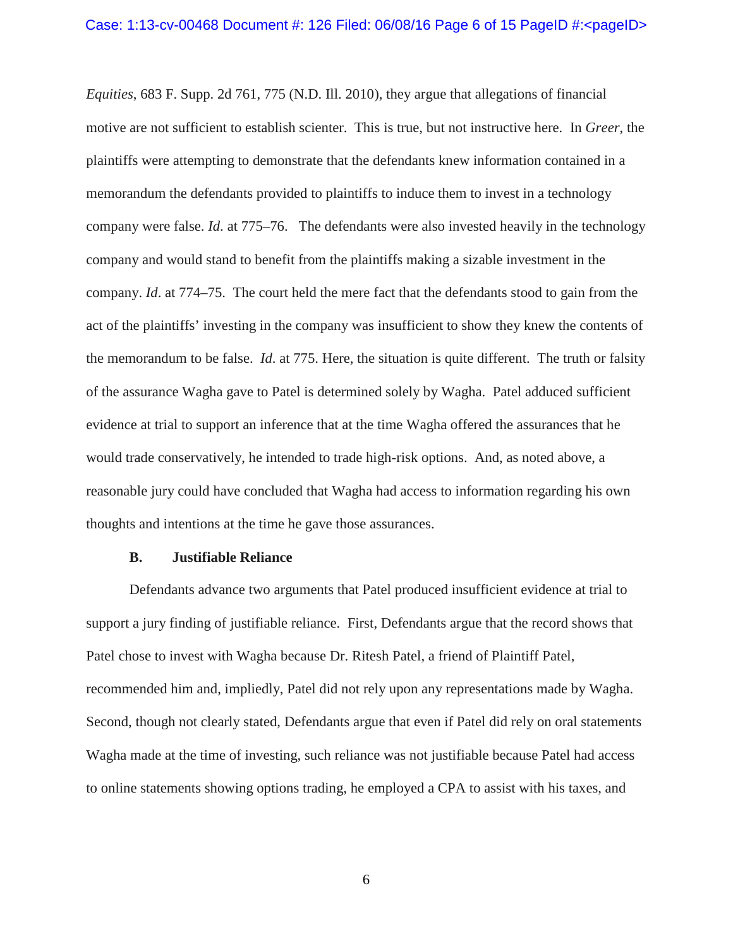*Equities*, 683 F. Supp. 2d 761, 775 (N.D. Ill. 2010), they argue that allegations of financial motive are not sufficient to establish scienter. This is true, but not instructive here. In *Greer*, the plaintiffs were attempting to demonstrate that the defendants knew information contained in a memorandum the defendants provided to plaintiffs to induce them to invest in a technology company were false. *Id*. at 775–76. The defendants were also invested heavily in the technology company and would stand to benefit from the plaintiffs making a sizable investment in the company. *Id*. at 774–75. The court held the mere fact that the defendants stood to gain from the act of the plaintiffs' investing in the company was insufficient to show they knew the contents of the memorandum to be false. *Id*. at 775. Here, the situation is quite different. The truth or falsity of the assurance Wagha gave to Patel is determined solely by Wagha. Patel adduced sufficient evidence at trial to support an inference that at the time Wagha offered the assurances that he would trade conservatively, he intended to trade high-risk options. And, as noted above, a reasonable jury could have concluded that Wagha had access to information regarding his own thoughts and intentions at the time he gave those assurances.

#### **B. Justifiable Reliance**

Defendants advance two arguments that Patel produced insufficient evidence at trial to support a jury finding of justifiable reliance. First, Defendants argue that the record shows that Patel chose to invest with Wagha because Dr. Ritesh Patel, a friend of Plaintiff Patel, recommended him and, impliedly, Patel did not rely upon any representations made by Wagha. Second, though not clearly stated, Defendants argue that even if Patel did rely on oral statements Wagha made at the time of investing, such reliance was not justifiable because Patel had access to online statements showing options trading, he employed a CPA to assist with his taxes, and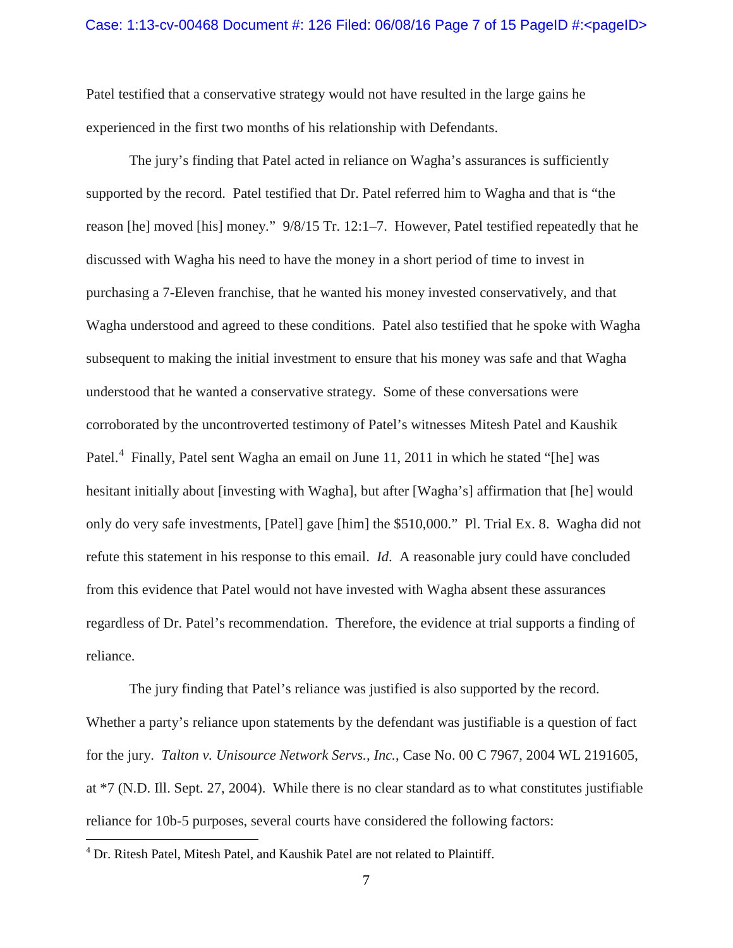#### Case: 1:13-cv-00468 Document #: 126 Filed: 06/08/16 Page 7 of 15 PageID #:<pageID>

Patel testified that a conservative strategy would not have resulted in the large gains he experienced in the first two months of his relationship with Defendants.

The jury's finding that Patel acted in reliance on Wagha's assurances is sufficiently supported by the record. Patel testified that Dr. Patel referred him to Wagha and that is "the reason [he] moved [his] money." 9/8/15 Tr. 12:1–7. However, Patel testified repeatedly that he discussed with Wagha his need to have the money in a short period of time to invest in purchasing a 7-Eleven franchise, that he wanted his money invested conservatively, and that Wagha understood and agreed to these conditions. Patel also testified that he spoke with Wagha subsequent to making the initial investment to ensure that his money was safe and that Wagha understood that he wanted a conservative strategy. Some of these conversations were corroborated by the uncontroverted testimony of Patel's witnesses Mitesh Patel and Kaushik Patel.<sup>[4](#page-6-0)</sup> Finally, Patel sent Wagha an email on June 11, 2011 in which he stated "[he] was hesitant initially about [investing with Wagha], but after [Wagha's] affirmation that [he] would only do very safe investments, [Patel] gave [him] the \$510,000." Pl. Trial Ex. 8. Wagha did not refute this statement in his response to this email. *Id*. A reasonable jury could have concluded from this evidence that Patel would not have invested with Wagha absent these assurances regardless of Dr. Patel's recommendation. Therefore, the evidence at trial supports a finding of reliance.

The jury finding that Patel's reliance was justified is also supported by the record. Whether a party's reliance upon statements by the defendant was justifiable is a question of fact for the jury. *Talton v. Unisource Network Servs., Inc.*, Case No. 00 C 7967, 2004 WL 2191605, at \*7 (N.D. Ill. Sept. 27, 2004). While there is no clear standard as to what constitutes justifiable reliance for 10b-5 purposes, several courts have considered the following factors:

 $\overline{a}$ 

<span id="page-6-0"></span><sup>&</sup>lt;sup>4</sup> Dr. Ritesh Patel, Mitesh Patel, and Kaushik Patel are not related to Plaintiff.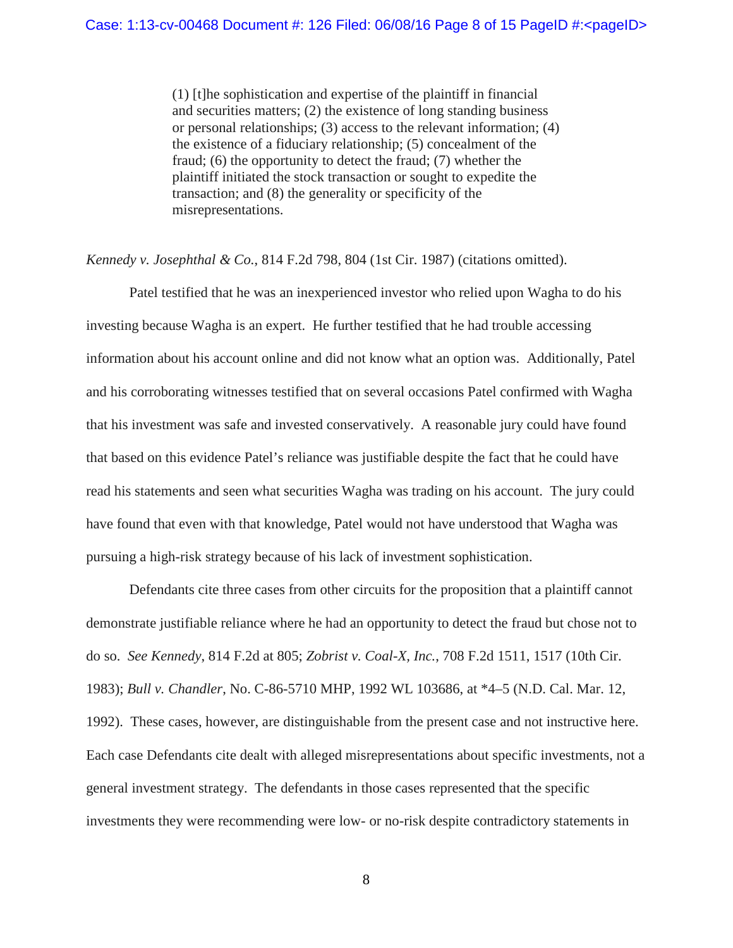(1) [t]he sophistication and expertise of the plaintiff in financial and securities matters; (2) the existence of long standing business or personal relationships; (3) access to the relevant information; (4) the existence of a fiduciary relationship; (5) concealment of the fraud; (6) the opportunity to detect the fraud; (7) whether the plaintiff initiated the stock transaction or sought to expedite the transaction; and (8) the generality or specificity of the misrepresentations.

*Kennedy v. Josephthal & Co.*, 814 F.2d 798, 804 (1st Cir. 1987) (citations omitted).

Patel testified that he was an inexperienced investor who relied upon Wagha to do his investing because Wagha is an expert. He further testified that he had trouble accessing information about his account online and did not know what an option was. Additionally, Patel and his corroborating witnesses testified that on several occasions Patel confirmed with Wagha that his investment was safe and invested conservatively. A reasonable jury could have found that based on this evidence Patel's reliance was justifiable despite the fact that he could have read his statements and seen what securities Wagha was trading on his account. The jury could have found that even with that knowledge, Patel would not have understood that Wagha was pursuing a high-risk strategy because of his lack of investment sophistication.

Defendants cite three cases from other circuits for the proposition that a plaintiff cannot demonstrate justifiable reliance where he had an opportunity to detect the fraud but chose not to do so. *See Kennedy*, 814 F.2d at 805; *Zobrist v. Coal-X, Inc.*, 708 F.2d 1511, 1517 (10th Cir. 1983); *Bull v. Chandler*, No. C-86-5710 MHP, 1992 WL 103686, at \*4–5 (N.D. Cal. Mar. 12, 1992). These cases, however, are distinguishable from the present case and not instructive here. Each case Defendants cite dealt with alleged misrepresentations about specific investments, not a general investment strategy. The defendants in those cases represented that the specific investments they were recommending were low- or no-risk despite contradictory statements in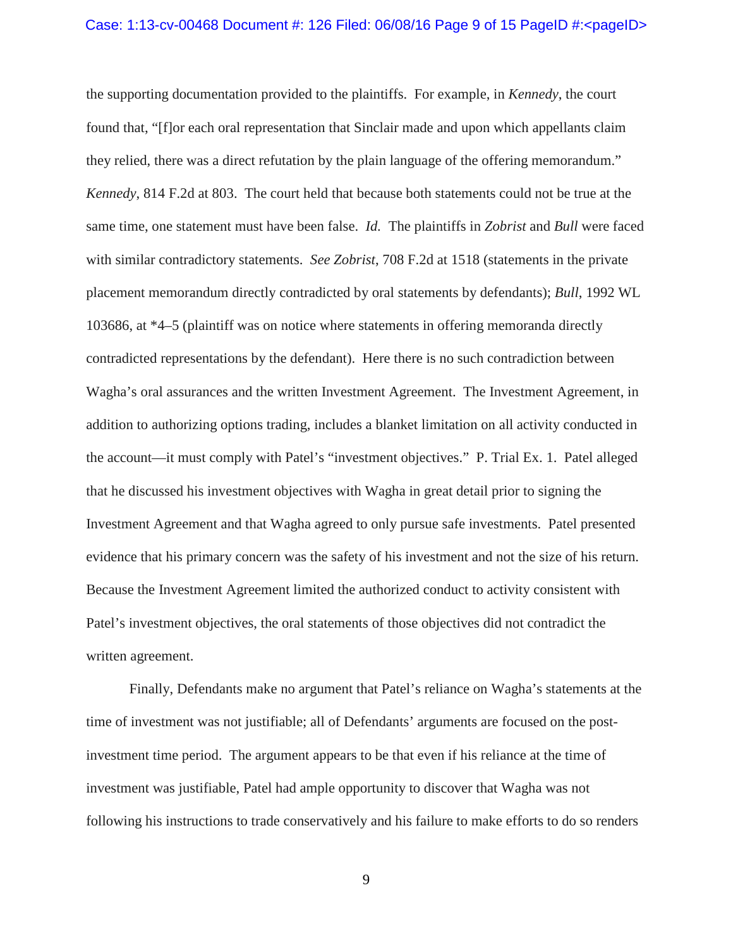#### Case: 1:13-cv-00468 Document #: 126 Filed: 06/08/16 Page 9 of 15 PageID #:<pageID>

the supporting documentation provided to the plaintiffs. For example, in *Kennedy*, the court found that, "[f]or each oral representation that Sinclair made and upon which appellants claim they relied, there was a direct refutation by the plain language of the offering memorandum." *Kennedy*, 814 F.2d at 803. The court held that because both statements could not be true at the same time, one statement must have been false. *Id.* The plaintiffs in *Zobrist* and *Bull* were faced with similar contradictory statements. *See Zobrist*, 708 F.2d at 1518 (statements in the private placement memorandum directly contradicted by oral statements by defendants); *Bull*, 1992 WL 103686, at \*4–5 (plaintiff was on notice where statements in offering memoranda directly contradicted representations by the defendant). Here there is no such contradiction between Wagha's oral assurances and the written Investment Agreement. The Investment Agreement, in addition to authorizing options trading, includes a blanket limitation on all activity conducted in the account—it must comply with Patel's "investment objectives." P. Trial Ex. 1. Patel alleged that he discussed his investment objectives with Wagha in great detail prior to signing the Investment Agreement and that Wagha agreed to only pursue safe investments. Patel presented evidence that his primary concern was the safety of his investment and not the size of his return. Because the Investment Agreement limited the authorized conduct to activity consistent with Patel's investment objectives, the oral statements of those objectives did not contradict the written agreement.

Finally, Defendants make no argument that Patel's reliance on Wagha's statements at the time of investment was not justifiable; all of Defendants' arguments are focused on the postinvestment time period. The argument appears to be that even if his reliance at the time of investment was justifiable, Patel had ample opportunity to discover that Wagha was not following his instructions to trade conservatively and his failure to make efforts to do so renders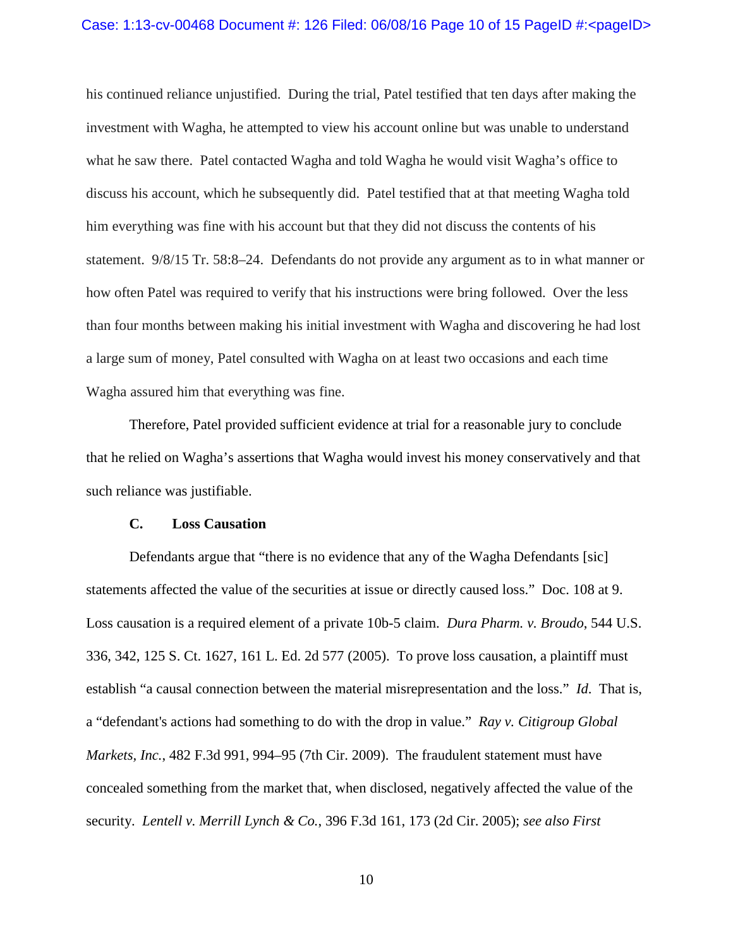#### Case: 1:13-cv-00468 Document #: 126 Filed: 06/08/16 Page 10 of 15 PageID #:<pageID>

his continued reliance unjustified. During the trial, Patel testified that ten days after making the investment with Wagha, he attempted to view his account online but was unable to understand what he saw there. Patel contacted Wagha and told Wagha he would visit Wagha's office to discuss his account, which he subsequently did. Patel testified that at that meeting Wagha told him everything was fine with his account but that they did not discuss the contents of his statement. 9/8/15 Tr. 58:8–24. Defendants do not provide any argument as to in what manner or how often Patel was required to verify that his instructions were bring followed. Over the less than four months between making his initial investment with Wagha and discovering he had lost a large sum of money, Patel consulted with Wagha on at least two occasions and each time Wagha assured him that everything was fine.

Therefore, Patel provided sufficient evidence at trial for a reasonable jury to conclude that he relied on Wagha's assertions that Wagha would invest his money conservatively and that such reliance was justifiable.

# **C. Loss Causation**

Defendants argue that "there is no evidence that any of the Wagha Defendants [sic] statements affected the value of the securities at issue or directly caused loss." Doc. 108 at 9. Loss causation is a required element of a private 10b-5 claim. *Dura Pharm. v. Broudo*, 544 U.S. 336, 342, 125 S. Ct. 1627, 161 L. Ed. 2d 577 (2005). To prove loss causation, a plaintiff must establish "a causal connection between the material misrepresentation and the loss." *Id*. That is, a "defendant's actions had something to do with the drop in value." *Ray v. Citigroup Global Markets, Inc.*, 482 F.3d 991, 994–95 (7th Cir. 2009). The fraudulent statement must have concealed something from the market that, when disclosed, negatively affected the value of the security. *Lentell v. Merrill Lynch & Co.*, 396 F.3d 161, 173 (2d Cir. 2005); *see also First*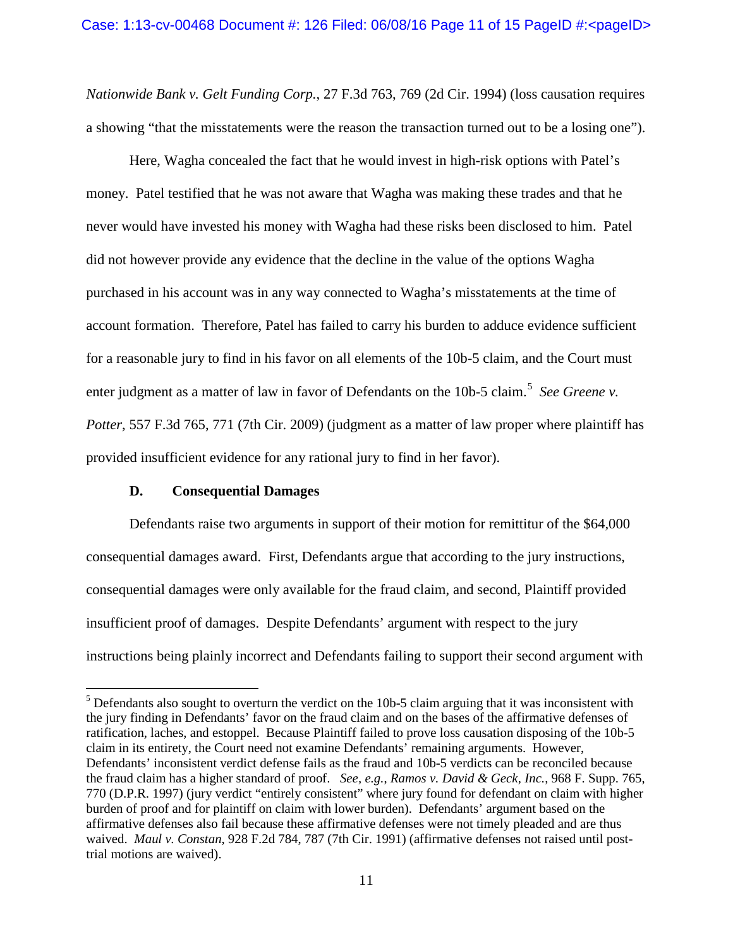*Nationwide Bank v. Gelt Funding Corp.*, 27 F.3d 763, 769 (2d Cir. 1994) (loss causation requires a showing "that the misstatements were the reason the transaction turned out to be a losing one").

Here, Wagha concealed the fact that he would invest in high-risk options with Patel's money. Patel testified that he was not aware that Wagha was making these trades and that he never would have invested his money with Wagha had these risks been disclosed to him. Patel did not however provide any evidence that the decline in the value of the options Wagha purchased in his account was in any way connected to Wagha's misstatements at the time of account formation. Therefore, Patel has failed to carry his burden to adduce evidence sufficient for a reasonable jury to find in his favor on all elements of the 10b-5 claim, and the Court must enter judgment as a matter of law in favor of Defendants on the 10b-[5](#page-10-0) claim.<sup>5</sup> See Greene v. *Potter*, 557 F.3d 765, 771 (7th Cir. 2009) (judgment as a matter of law proper where plaintiff has provided insufficient evidence for any rational jury to find in her favor).

### **D. Consequential Damages**

 $\overline{a}$ 

Defendants raise two arguments in support of their motion for remittitur of the \$64,000 consequential damages award. First, Defendants argue that according to the jury instructions, consequential damages were only available for the fraud claim, and second, Plaintiff provided insufficient proof of damages. Despite Defendants' argument with respect to the jury instructions being plainly incorrect and Defendants failing to support their second argument with

<span id="page-10-0"></span> $<sup>5</sup>$  Defendants also sought to overturn the verdict on the 10b-5 claim arguing that it was inconsistent with</sup> the jury finding in Defendants' favor on the fraud claim and on the bases of the affirmative defenses of ratification, laches, and estoppel. Because Plaintiff failed to prove loss causation disposing of the 10b-5 claim in its entirety, the Court need not examine Defendants' remaining arguments. However, Defendants' inconsistent verdict defense fails as the fraud and 10b-5 verdicts can be reconciled because the fraud claim has a higher standard of proof. *See, e.g.*, *Ramos v. David & Geck, Inc.*, 968 F. Supp. 765, 770 (D.P.R. 1997) (jury verdict "entirely consistent" where jury found for defendant on claim with higher burden of proof and for plaintiff on claim with lower burden). Defendants' argument based on the affirmative defenses also fail because these affirmative defenses were not timely pleaded and are thus waived. *Maul v. Constan*, 928 F.2d 784, 787 (7th Cir. 1991) (affirmative defenses not raised until posttrial motions are waived).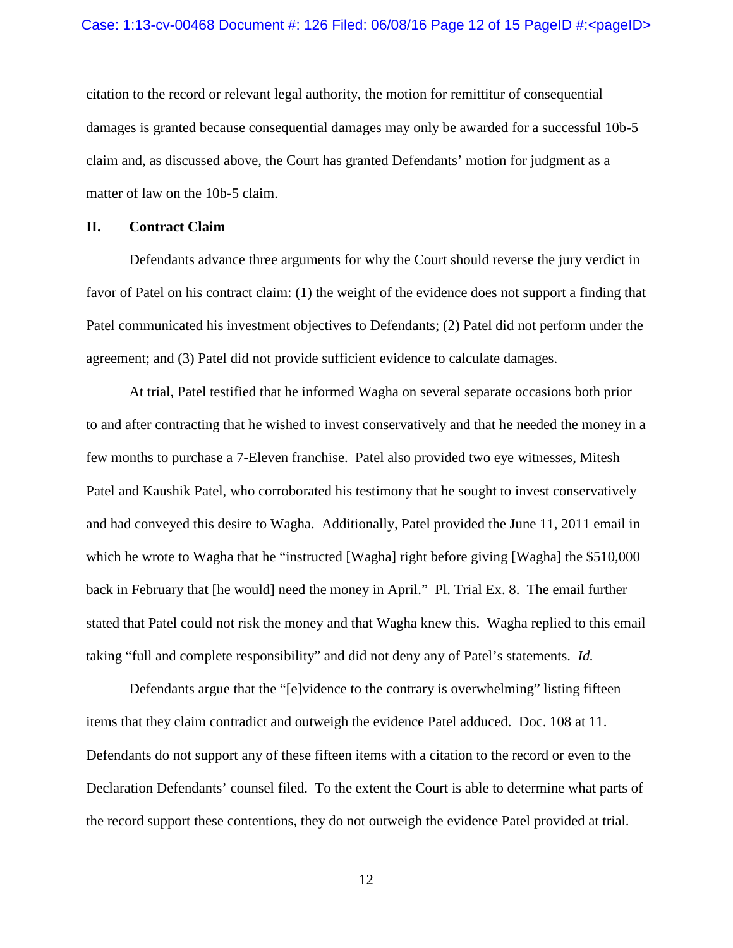citation to the record or relevant legal authority, the motion for remittitur of consequential damages is granted because consequential damages may only be awarded for a successful 10b-5 claim and, as discussed above, the Court has granted Defendants' motion for judgment as a matter of law on the 10b-5 claim.

# **II. Contract Claim**

Defendants advance three arguments for why the Court should reverse the jury verdict in favor of Patel on his contract claim: (1) the weight of the evidence does not support a finding that Patel communicated his investment objectives to Defendants; (2) Patel did not perform under the agreement; and (3) Patel did not provide sufficient evidence to calculate damages.

At trial, Patel testified that he informed Wagha on several separate occasions both prior to and after contracting that he wished to invest conservatively and that he needed the money in a few months to purchase a 7-Eleven franchise. Patel also provided two eye witnesses, Mitesh Patel and Kaushik Patel, who corroborated his testimony that he sought to invest conservatively and had conveyed this desire to Wagha. Additionally, Patel provided the June 11, 2011 email in which he wrote to Wagha that he "instructed [Wagha] right before giving [Wagha] the \$510,000 back in February that [he would] need the money in April." Pl. Trial Ex. 8. The email further stated that Patel could not risk the money and that Wagha knew this. Wagha replied to this email taking "full and complete responsibility" and did not deny any of Patel's statements. *Id.* 

Defendants argue that the "[e]vidence to the contrary is overwhelming" listing fifteen items that they claim contradict and outweigh the evidence Patel adduced. Doc. 108 at 11. Defendants do not support any of these fifteen items with a citation to the record or even to the Declaration Defendants' counsel filed. To the extent the Court is able to determine what parts of the record support these contentions, they do not outweigh the evidence Patel provided at trial.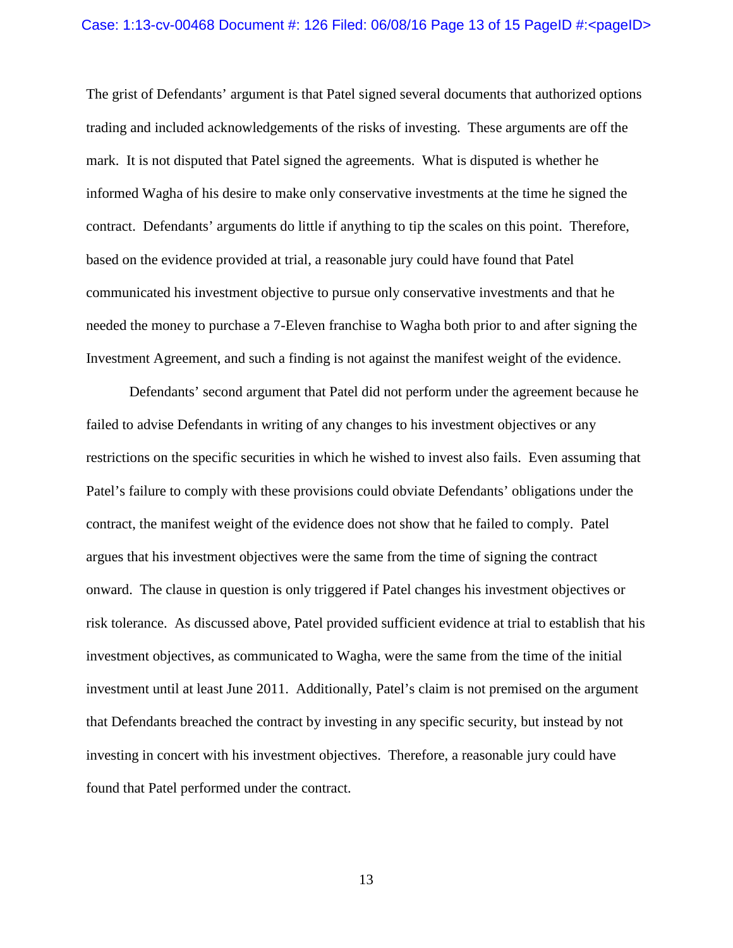#### Case: 1:13-cv-00468 Document #: 126 Filed: 06/08/16 Page 13 of 15 PageID #:<pageID>

The grist of Defendants' argument is that Patel signed several documents that authorized options trading and included acknowledgements of the risks of investing. These arguments are off the mark. It is not disputed that Patel signed the agreements. What is disputed is whether he informed Wagha of his desire to make only conservative investments at the time he signed the contract. Defendants' arguments do little if anything to tip the scales on this point. Therefore, based on the evidence provided at trial, a reasonable jury could have found that Patel communicated his investment objective to pursue only conservative investments and that he needed the money to purchase a 7-Eleven franchise to Wagha both prior to and after signing the Investment Agreement, and such a finding is not against the manifest weight of the evidence.

Defendants' second argument that Patel did not perform under the agreement because he failed to advise Defendants in writing of any changes to his investment objectives or any restrictions on the specific securities in which he wished to invest also fails. Even assuming that Patel's failure to comply with these provisions could obviate Defendants' obligations under the contract, the manifest weight of the evidence does not show that he failed to comply. Patel argues that his investment objectives were the same from the time of signing the contract onward. The clause in question is only triggered if Patel changes his investment objectives or risk tolerance. As discussed above, Patel provided sufficient evidence at trial to establish that his investment objectives, as communicated to Wagha, were the same from the time of the initial investment until at least June 2011. Additionally, Patel's claim is not premised on the argument that Defendants breached the contract by investing in any specific security, but instead by not investing in concert with his investment objectives. Therefore, a reasonable jury could have found that Patel performed under the contract.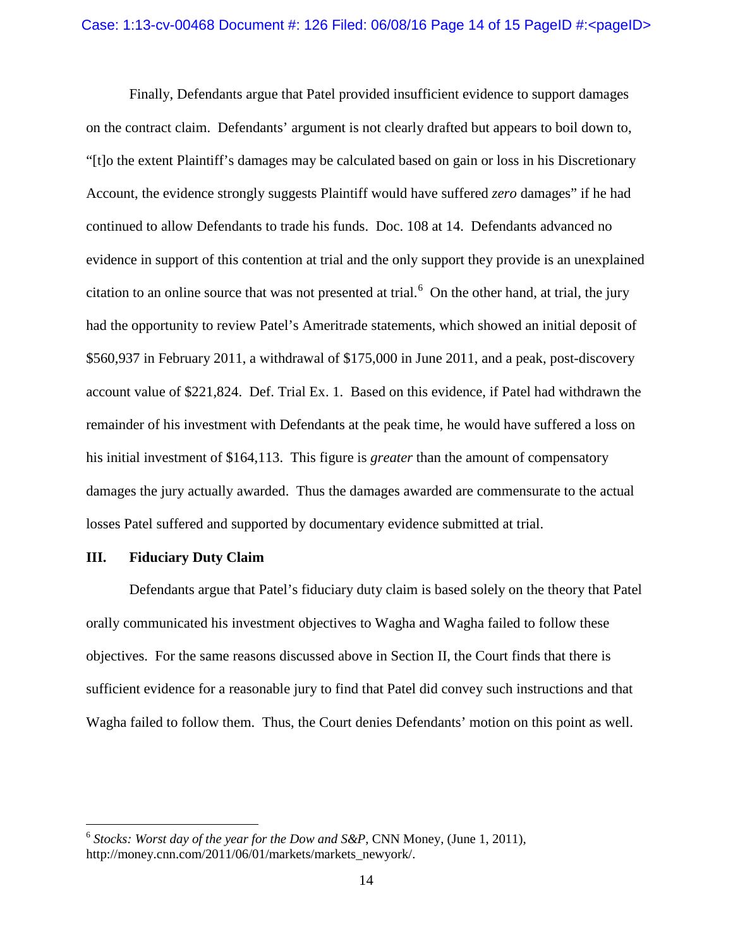Finally, Defendants argue that Patel provided insufficient evidence to support damages on the contract claim. Defendants' argument is not clearly drafted but appears to boil down to, "[t]o the extent Plaintiff's damages may be calculated based on gain or loss in his Discretionary Account, the evidence strongly suggests Plaintiff would have suffered *zero* damages" if he had continued to allow Defendants to trade his funds. Doc. 108 at 14. Defendants advanced no evidence in support of this contention at trial and the only support they provide is an unexplained citation to an online source that was not presented at trial.<sup>[6](#page-13-0)</sup> On the other hand, at trial, the jury had the opportunity to review Patel's Ameritrade statements, which showed an initial deposit of \$560,937 in February 2011, a withdrawal of \$175,000 in June 2011, and a peak, post-discovery account value of \$221,824. Def. Trial Ex. 1. Based on this evidence, if Patel had withdrawn the remainder of his investment with Defendants at the peak time, he would have suffered a loss on his initial investment of \$164,113. This figure is *greater* than the amount of compensatory damages the jury actually awarded. Thus the damages awarded are commensurate to the actual losses Patel suffered and supported by documentary evidence submitted at trial.

### **III. Fiduciary Duty Claim**

 $\overline{a}$ 

Defendants argue that Patel's fiduciary duty claim is based solely on the theory that Patel orally communicated his investment objectives to Wagha and Wagha failed to follow these objectives. For the same reasons discussed above in Section II, the Court finds that there is sufficient evidence for a reasonable jury to find that Patel did convey such instructions and that Wagha failed to follow them. Thus, the Court denies Defendants' motion on this point as well.

<span id="page-13-0"></span><sup>6</sup> *Stocks: Worst day of the year for the Dow and S&P*, CNN Money, (June 1, 2011), http://money.cnn.com/2011/06/01/markets/markets\_newyork/.